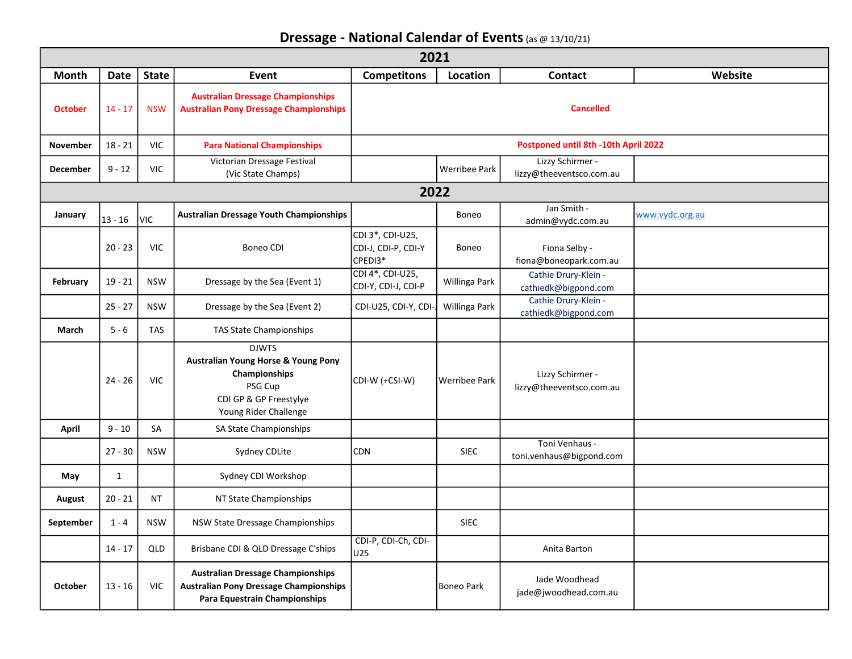Dressage - National Calendar of Events (as @ 13/10/21)

| 2021            |              |              |                                                                                                                                               |                                                    |                   |                                              |                 |  |  |  |
|-----------------|--------------|--------------|-----------------------------------------------------------------------------------------------------------------------------------------------|----------------------------------------------------|-------------------|----------------------------------------------|-----------------|--|--|--|
| Month           | <b>Date</b>  | <b>State</b> | Event                                                                                                                                         | <b>Competitons</b>                                 | Location          | <b>Contact</b>                               | Website         |  |  |  |
| <b>October</b>  | $14 - 17$    | <b>NSW</b>   | <b>Australian Dressage Championships</b><br><b>Australian Pony Dressage Championships</b>                                                     |                                                    |                   | <b>Cancelled</b>                             |                 |  |  |  |
| <b>November</b> | $18 - 21$    | <b>VIC</b>   | <b>Para National Championships</b>                                                                                                            | Postponed until 8th -10th April 2022               |                   |                                              |                 |  |  |  |
| December        | $9 - 12$     | <b>VIC</b>   | Victorian Dressage Festival<br>(Vic State Champs)                                                                                             |                                                    | Werribee Park     | Lizzy Schirmer -<br>lizzy@theeventsco.com.au |                 |  |  |  |
| 2022            |              |              |                                                                                                                                               |                                                    |                   |                                              |                 |  |  |  |
| January         | $13 - 16$    | VIC          | <b>Australian Dressage Youth Championships</b>                                                                                                |                                                    | Boneo             | Jan Smith -<br>admin@vydc.com.au             | www.vydc.org.au |  |  |  |
|                 | $20 - 23$    | <b>VIC</b>   | Boneo CDI                                                                                                                                     | CDI 3*, CDI-U25,<br>CDI-J, CDI-P, CDI-Y<br>CPEDI3* | <b>Boneo</b>      | Fiona Selby -<br>fiona@boneopark.com.au      |                 |  |  |  |
| February        | $19 - 21$    | <b>NSW</b>   | Dressage by the Sea (Event 1)                                                                                                                 | CDI 4*, CDI-U25,<br>CDI-Y, CDI-J, CDI-P            | Willinga Park     | Cathie Drury-Klein -<br>cathiedk@bigpond.com |                 |  |  |  |
|                 | $25 - 27$    | <b>NSW</b>   | Dressage by the Sea (Event 2)                                                                                                                 | CDI-U25, CDI-Y, CDI-                               | Willinga Park     | Cathie Drury-Klein -<br>cathiedk@bigpond.com |                 |  |  |  |
| March           | $5 - 6$      | <b>TAS</b>   | <b>TAS State Championships</b>                                                                                                                |                                                    |                   |                                              |                 |  |  |  |
|                 | $24 - 26$    | <b>VIC</b>   | <b>DJWTS</b><br><b>Australian Young Horse &amp; Young Pony</b><br>Championships<br>PSG Cup<br>CDI GP & GP Freestylye<br>Young Rider Challenge | CDI-W (+CSI-W)                                     | Werribee Park     | Lizzy Schirmer -<br>lizzy@theeventsco.com.au |                 |  |  |  |
| April           | $9 - 10$     | <b>SA</b>    | SA State Championships                                                                                                                        |                                                    |                   |                                              |                 |  |  |  |
|                 | $27 - 30$    | <b>NSW</b>   | Sydney CDLite                                                                                                                                 | <b>CDN</b>                                         | <b>SIEC</b>       | Toni Venhaus -<br>toni.venhaus@bigpond.com   |                 |  |  |  |
| May             | $\mathbf{1}$ |              | Sydney CDI Workshop                                                                                                                           |                                                    |                   |                                              |                 |  |  |  |
| <b>August</b>   | $20 - 21$    | <b>NT</b>    | NT State Championships                                                                                                                        |                                                    |                   |                                              |                 |  |  |  |
| September       | $1 - 4$      | <b>NSW</b>   | NSW State Dressage Championships                                                                                                              |                                                    | <b>SIEC</b>       |                                              |                 |  |  |  |
|                 | $14 - 17$    | QLD          | Brisbane CDI & QLD Dressage C'ships                                                                                                           | CDI-P, CDI-Ch, CDI-<br>U25                         |                   | Anita Barton                                 |                 |  |  |  |
| <b>October</b>  | $13 - 16$    | <b>VIC</b>   | <b>Australian Dressage Championships</b><br><b>Australian Pony Dressage Championships</b><br>Para Equestrain Championships                    |                                                    | <b>Boneo Park</b> | Jade Woodhead<br>jade@jwoodhead.com.au       |                 |  |  |  |